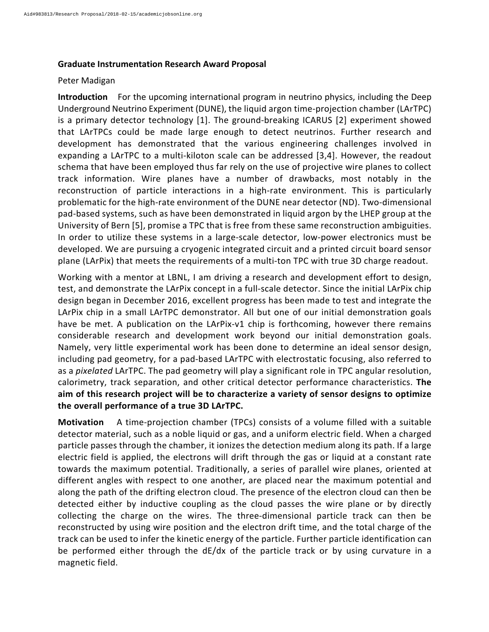## **Graduate Instrumentation Research Award Proposal**

## Peter Madigan

**Introduction** For the upcoming international program in neutrino physics, including the Deep Underground Neutrino Experiment (DUNE), the liquid argon time-projection chamber (LArTPC) is a primary detector technology [1]. The ground-breaking ICARUS [2] experiment showed that LArTPCs could be made large enough to detect neutrinos. Further research and development has demonstrated that the various engineering challenges involved in expanding a LArTPC to a multi-kiloton scale can be addressed [3,4]. However, the readout schema that have been employed thus far rely on the use of projective wire planes to collect track information. Wire planes have a number of drawbacks, most notably in the reconstruction of particle interactions in a high-rate environment. This is particularly problematic for the high-rate environment of the DUNE near detector (ND). Two-dimensional pad-based systems, such as have been demonstrated in liquid argon by the LHEP group at the University of Bern [5], promise a TPC that is free from these same reconstruction ambiguities. In order to utilize these systems in a large-scale detector, low-power electronics must be developed. We are pursuing a cryogenic integrated circuit and a printed circuit board sensor plane (LArPix) that meets the requirements of a multi-ton TPC with true 3D charge readout.

Working with a mentor at LBNL, I am driving a research and development effort to design, test, and demonstrate the LArPix concept in a full-scale detector. Since the initial LArPix chip design began in December 2016, excellent progress has been made to test and integrate the LArPix chip in a small LArTPC demonstrator. All but one of our initial demonstration goals have be met. A publication on the LArPix-v1 chip is forthcoming, however there remains considerable research and development work beyond our initial demonstration goals. Namely, very little experimental work has been done to determine an ideal sensor design, including pad geometry, for a pad-based LArTPC with electrostatic focusing, also referred to as a *pixelated* LArTPC. The pad geometry will play a significant role in TPC angular resolution, calorimetry, track separation, and other critical detector performance characteristics. The aim of this research project will be to characterize a variety of sensor designs to optimize the overall performance of a true 3D LArTPC.

**Motivation** A time-projection chamber (TPCs) consists of a volume filled with a suitable detector material, such as a noble liquid or gas, and a uniform electric field. When a charged particle passes through the chamber, it ionizes the detection medium along its path. If a large electric field is applied, the electrons will drift through the gas or liquid at a constant rate towards the maximum potential. Traditionally, a series of parallel wire planes, oriented at different angles with respect to one another, are placed near the maximum potential and along the path of the drifting electron cloud. The presence of the electron cloud can then be detected either by inductive coupling as the cloud passes the wire plane or by directly collecting the charge on the wires. The three-dimensional particle track can then be reconstructed by using wire position and the electron drift time, and the total charge of the track can be used to infer the kinetic energy of the particle. Further particle identification can be performed either through the  $dE/dx$  of the particle track or by using curvature in a magnetic field.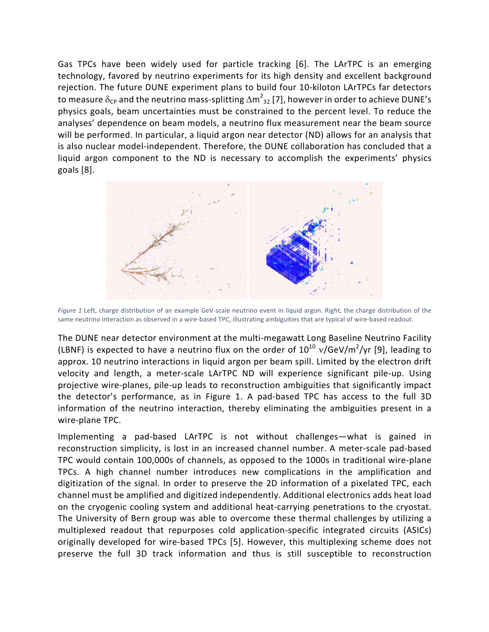Gas TPCs have been widely used for particle tracking [6]. The LArTPC is an emerging technology, favored by neutrino experiments for its high density and excellent background rejection. The future DUNE experiment plans to build four 10-kiloton LArTPCs far detectors to measure  $\delta_{\sf CP}$  and the neutrino mass-splitting  $\Delta {\sf m}^2_{\;32}$  [7], however in order to achieve DUNE's physics goals, beam uncertainties must be constrained to the percent level. To reduce the analyses' dependence on beam models, a neutrino flux measurement near the beam source will be performed. In particular, a liquid argon near detector (ND) allows for an analysis that is also nuclear model-independent. Therefore, the DUNE collaboration has concluded that a liquid argon component to the ND is necessary to accomplish the experiments' physics goals  $[8]$ .



Figure 1 Left, charge distribution of an example GeV-scale neutrino event in liquid argon. Right, the charge distribution of the same neutrino interaction as observed in a wire-based TPC, illustrating ambiguities that are typical of wire-based readout.

The DUNE near detector environment at the multi-megawatt Long Baseline Neutrino Facility (LBNF) is expected to have a neutrino flux on the order of  $10^{10}$  v/GeV/m<sup>2</sup>/yr [9], leading to approx. 10 neutrino interactions in liquid argon per beam spill. Limited by the electron drift velocity and length, a meter-scale LArTPC ND will experience significant pile-up. Using projective wire-planes, pile-up leads to reconstruction ambiguities that significantly impact the detector's performance, as in Figure 1. A pad-based TPC has access to the full 3D information of the neutrino interaction, thereby eliminating the ambiguities present in a wire-plane TPC.

Implementing a pad-based LArTPC is not without challenges—what is gained in reconstruction simplicity, is lost in an increased channel number. A meter-scale pad-based TPC would contain 100,000s of channels, as opposed to the 1000s in traditional wire-plane TPCs. A high channel number introduces new complications in the amplification and digitization of the signal. In order to preserve the 2D information of a pixelated TPC, each channel must be amplified and digitized independently. Additional electronics adds heat load on the cryogenic cooling system and additional heat-carrying penetrations to the cryostat. The University of Bern group was able to overcome these thermal challenges by utilizing a multiplexed readout that repurposes cold application-specific integrated circuits (ASICs) originally developed for wire-based TPCs [5]. However, this multiplexing scheme does not preserve the full 3D track information and thus is still susceptible to reconstruction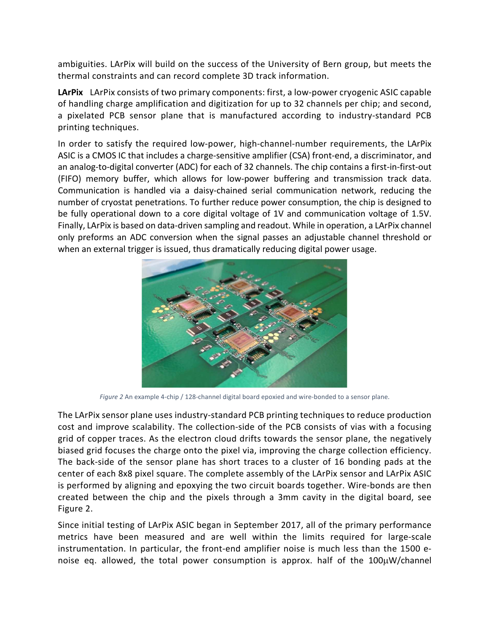ambiguities. LArPix will build on the success of the University of Bern group, but meets the thermal constraints and can record complete 3D track information.

LArPix LArPix consists of two primary components: first, a low-power cryogenic ASIC capable of handling charge amplification and digitization for up to 32 channels per chip; and second, a pixelated PCB sensor plane that is manufactured according to industry-standard PCB printing techniques.

In order to satisfy the required low-power, high-channel-number requirements, the LArPix ASIC is a CMOS IC that includes a charge-sensitive amplifier (CSA) front-end, a discriminator, and an analog-to-digital converter (ADC) for each of 32 channels. The chip contains a first-in-first-out (FIFO) memory buffer, which allows for low-power buffering and transmission track data. Communication is handled via a daisy-chained serial communication network, reducing the number of cryostat penetrations. To further reduce power consumption, the chip is designed to be fully operational down to a core digital voltage of 1V and communication voltage of 1.5V. Finally, LArPix is based on data-driven sampling and readout. While in operation, a LArPix channel only preforms an ADC conversion when the signal passes an adjustable channel threshold or when an external trigger is issued, thus dramatically reducing digital power usage.



Figure 2 An example 4-chip / 128-channel digital board epoxied and wire-bonded to a sensor plane.

The LArPix sensor plane uses industry-standard PCB printing techniques to reduce production cost and improve scalability. The collection-side of the PCB consists of vias with a focusing grid of copper traces. As the electron cloud drifts towards the sensor plane, the negatively biased grid focuses the charge onto the pixel via, improving the charge collection efficiency. The back-side of the sensor plane has short traces to a cluster of 16 bonding pads at the center of each 8x8 pixel square. The complete assembly of the LArPix sensor and LArPix ASIC is performed by aligning and epoxying the two circuit boards together. Wire-bonds are then created between the chip and the pixels through a 3mm cavity in the digital board, see Figure 2.

Since initial testing of LArPix ASIC began in September 2017, all of the primary performance metrics have been measured and are well within the limits required for large-scale instrumentation. In particular, the front-end amplifier noise is much less than the 1500 enoise eq. allowed, the total power consumption is approx. half of the  $100\mu$ W/channel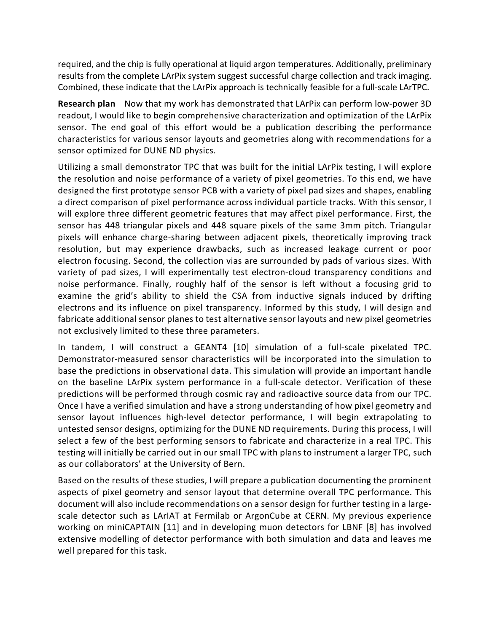required, and the chip is fully operational at liquid argon temperatures. Additionally, preliminary results from the complete LArPix system suggest successful charge collection and track imaging. Combined, these indicate that the LArPix approach is technically feasible for a full-scale LArTPC.

**Research plan** Now that my work has demonstrated that LArPix can perform low-power 3D readout, I would like to begin comprehensive characterization and optimization of the LArPix sensor. The end goal of this effort would be a publication describing the performance characteristics for various sensor layouts and geometries along with recommendations for a sensor optimized for DUNE ND physics.

Utilizing a small demonstrator TPC that was built for the initial LArPix testing, I will explore the resolution and noise performance of a variety of pixel geometries. To this end, we have designed the first prototype sensor PCB with a variety of pixel pad sizes and shapes, enabling a direct comparison of pixel performance across individual particle tracks. With this sensor, I will explore three different geometric features that may affect pixel performance. First, the sensor has 448 triangular pixels and 448 square pixels of the same 3mm pitch. Triangular pixels will enhance charge-sharing between adjacent pixels, theoretically improving track resolution, but may experience drawbacks, such as increased leakage current or poor electron focusing. Second, the collection vias are surrounded by pads of various sizes. With variety of pad sizes, I will experimentally test electron-cloud transparency conditions and noise performance. Finally, roughly half of the sensor is left without a focusing grid to examine the grid's ability to shield the CSA from inductive signals induced by drifting electrons and its influence on pixel transparency. Informed by this study, I will design and fabricate additional sensor planes to test alternative sensor layouts and new pixel geometries not exclusively limited to these three parameters.

In tandem, I will construct a GEANT4 [10] simulation of a full-scale pixelated TPC. Demonstrator-measured sensor characteristics will be incorporated into the simulation to base the predictions in observational data. This simulation will provide an important handle on the baseline LArPix system performance in a full-scale detector. Verification of these predictions will be performed through cosmic ray and radioactive source data from our TPC. Once I have a verified simulation and have a strong understanding of how pixel geometry and sensor layout influences high-level detector performance, I will begin extrapolating to untested sensor designs, optimizing for the DUNE ND requirements. During this process, I will select a few of the best performing sensors to fabricate and characterize in a real TPC. This testing will initially be carried out in our small TPC with plans to instrument a larger TPC, such as our collaborators' at the University of Bern.

Based on the results of these studies, I will prepare a publication documenting the prominent aspects of pixel geometry and sensor layout that determine overall TPC performance. This document will also include recommendations on a sensor design for further testing in a largescale detector such as LArIAT at Fermilab or ArgonCube at CERN. My previous experience working on miniCAPTAIN [11] and in developing muon detectors for LBNF [8] has involved extensive modelling of detector performance with both simulation and data and leaves me well prepared for this task.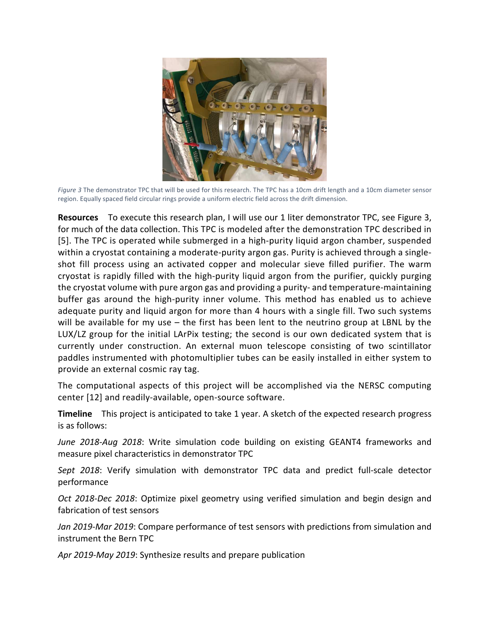

Figure 3 The demonstrator TPC that will be used for this research. The TPC has a 10cm drift length and a 10cm diameter sensor region. Equally spaced field circular rings provide a uniform electric field across the drift dimension.

**Resources** To execute this research plan, I will use our 1 liter demonstrator TPC, see Figure 3, for much of the data collection. This TPC is modeled after the demonstration TPC described in [5]. The TPC is operated while submerged in a high-purity liquid argon chamber, suspended within a cryostat containing a moderate-purity argon gas. Purity is achieved through a singleshot fill process using an activated copper and molecular sieve filled purifier. The warm cryostat is rapidly filled with the high-purity liquid argon from the purifier, quickly purging the cryostat volume with pure argon gas and providing a purity- and temperature-maintaining buffer gas around the high-purity inner volume. This method has enabled us to achieve adequate purity and liquid argon for more than 4 hours with a single fill. Two such systems will be available for my use  $-$  the first has been lent to the neutrino group at LBNL by the LUX/LZ group for the initial LArPix testing; the second is our own dedicated system that is currently under construction. An external muon telescope consisting of two scintillator paddles instrumented with photomultiplier tubes can be easily installed in either system to provide an external cosmic ray tag.

The computational aspects of this project will be accomplished via the NERSC computing center [12] and readily-available, open-source software.

**Timeline** This project is anticipated to take 1 year. A sketch of the expected research progress is as follows:

*June 2018-Aug 2018*: Write simulation code building on existing GEANT4 frameworks and measure pixel characteristics in demonstrator TPC

Sept 2018: Verify simulation with demonstrator TPC data and predict full-scale detector performance

*Oct* 2018-Dec 2018: Optimize pixel geometry using verified simulation and begin design and fabrication of test sensors

*Jan 2019-Mar 2019:* Compare performance of test sensors with predictions from simulation and instrument the Bern TPC

Apr 2019-May 2019: Synthesize results and prepare publication